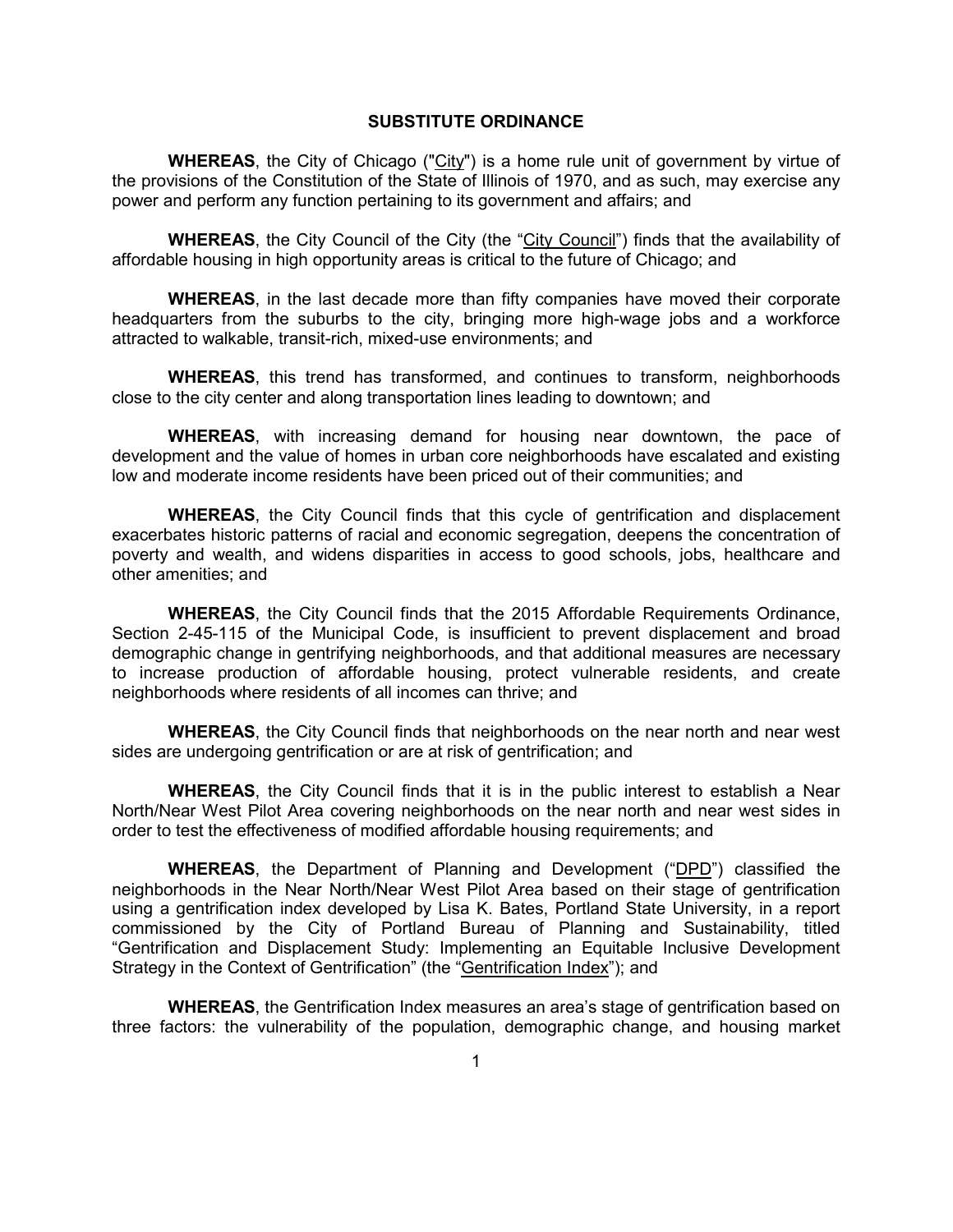### **SUBSTITUTE ORDINANCE**

**WHEREAS**, the City of Chicago ("City") is a home rule unit of government by virtue of the provisions of the Constitution of the State of Illinois of 1970, and as such, may exercise any power and perform any function pertaining to its government and affairs; and

**WHEREAS**, the City Council of the City (the "City Council") finds that the availability of affordable housing in high opportunity areas is critical to the future of Chicago; and

**WHEREAS**, in the last decade more than fifty companies have moved their corporate headquarters from the suburbs to the city, bringing more high-wage jobs and a workforce attracted to walkable, transit-rich, mixed-use environments; and

**WHEREAS**, this trend has transformed, and continues to transform, neighborhoods close to the city center and along transportation lines leading to downtown; and

**WHEREAS**, with increasing demand for housing near downtown, the pace of development and the value of homes in urban core neighborhoods have escalated and existing low and moderate income residents have been priced out of their communities; and

**WHEREAS**, the City Council finds that this cycle of gentrification and displacement exacerbates historic patterns of racial and economic segregation, deepens the concentration of poverty and wealth, and widens disparities in access to good schools, jobs, healthcare and other amenities; and

**WHEREAS**, the City Council finds that the 2015 Affordable Requirements Ordinance, Section 2-45-115 of the Municipal Code, is insufficient to prevent displacement and broad demographic change in gentrifying neighborhoods, and that additional measures are necessary to increase production of affordable housing, protect vulnerable residents, and create neighborhoods where residents of all incomes can thrive; and

**WHEREAS**, the City Council finds that neighborhoods on the near north and near west sides are undergoing gentrification or are at risk of gentrification; and

**WHEREAS**, the City Council finds that it is in the public interest to establish a Near North/Near West Pilot Area covering neighborhoods on the near north and near west sides in order to test the effectiveness of modified affordable housing requirements; and

**WHEREAS**, the Department of Planning and Development ("DPD") classified the neighborhoods in the Near North/Near West Pilot Area based on their stage of gentrification using a gentrification index developed by Lisa K. Bates, Portland State University, in a report commissioned by the City of Portland Bureau of Planning and Sustainability, titled "Gentrification and Displacement Study: Implementing an Equitable Inclusive Development Strategy in the Context of Gentrification" (the "Gentrification Index"); and

**WHEREAS**, the Gentrification Index measures an area's stage of gentrification based on three factors: the vulnerability of the population, demographic change, and housing market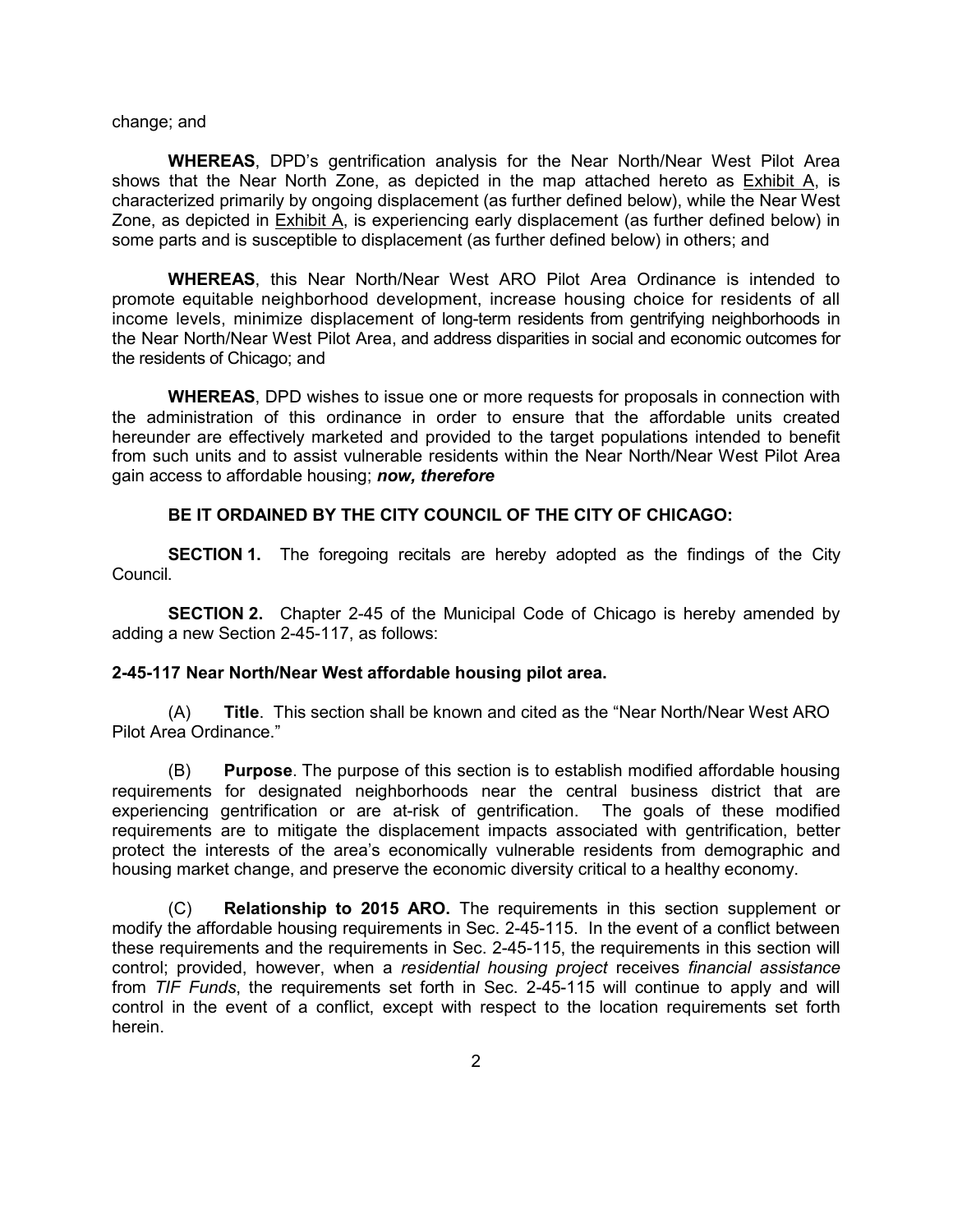#### change; and

**WHEREAS**, DPD's gentrification analysis for the Near North/Near West Pilot Area shows that the Near North Zone, as depicted in the map attached hereto as Exhibit A, is characterized primarily by ongoing displacement (as further defined below), while the Near West Zone, as depicted in Exhibit A, is experiencing early displacement (as further defined below) in some parts and is susceptible to displacement (as further defined below) in others; and

**WHEREAS**, this Near North/Near West ARO Pilot Area Ordinance is intended to promote equitable neighborhood development, increase housing choice for residents of all income levels, minimize displacement of long-term residents from gentrifying neighborhoods in the Near North/Near West Pilot Area, and address disparities in social and economic outcomes for the residents of Chicago; and

**WHEREAS**, DPD wishes to issue one or more requests for proposals in connection with the administration of this ordinance in order to ensure that the affordable units created hereunder are effectively marketed and provided to the target populations intended to benefit from such units and to assist vulnerable residents within the Near North/Near West Pilot Area gain access to affordable housing; *now, therefore*

#### **BE IT ORDAINED BY THE CITY COUNCIL OF THE CITY OF CHICAGO:**

**SECTION 1.** The foregoing recitals are hereby adopted as the findings of the City Council.

**SECTION 2.** Chapter 2-45 of the Municipal Code of Chicago is hereby amended by adding a new Section 2-45-117, as follows:

### **2-45-117 Near North/Near West affordable housing pilot area.**

(A) **Title**. This section shall be known and cited as the "Near North/Near West ARO Pilot Area Ordinance."

(B) **Purpose**. The purpose of this section is to establish modified affordable housing requirements for designated neighborhoods near the central business district that are experiencing gentrification or are at-risk of gentrification. The goals of these modified requirements are to mitigate the displacement impacts associated with gentrification, better protect the interests of the area's economically vulnerable residents from demographic and housing market change, and preserve the economic diversity critical to a healthy economy.

(C) **Relationship to 2015 ARO.** The requirements in this section supplement or modify the affordable housing requirements in Sec. 2-45-115. In the event of a conflict between these requirements and the requirements in Sec. 2-45-115, the requirements in this section will control; provided, however, when a *residential housing project* receives *financial assistance* from *TIF Funds*, the requirements set forth in Sec. 2-45-115 will continue to apply and will control in the event of a conflict, except with respect to the location requirements set forth herein.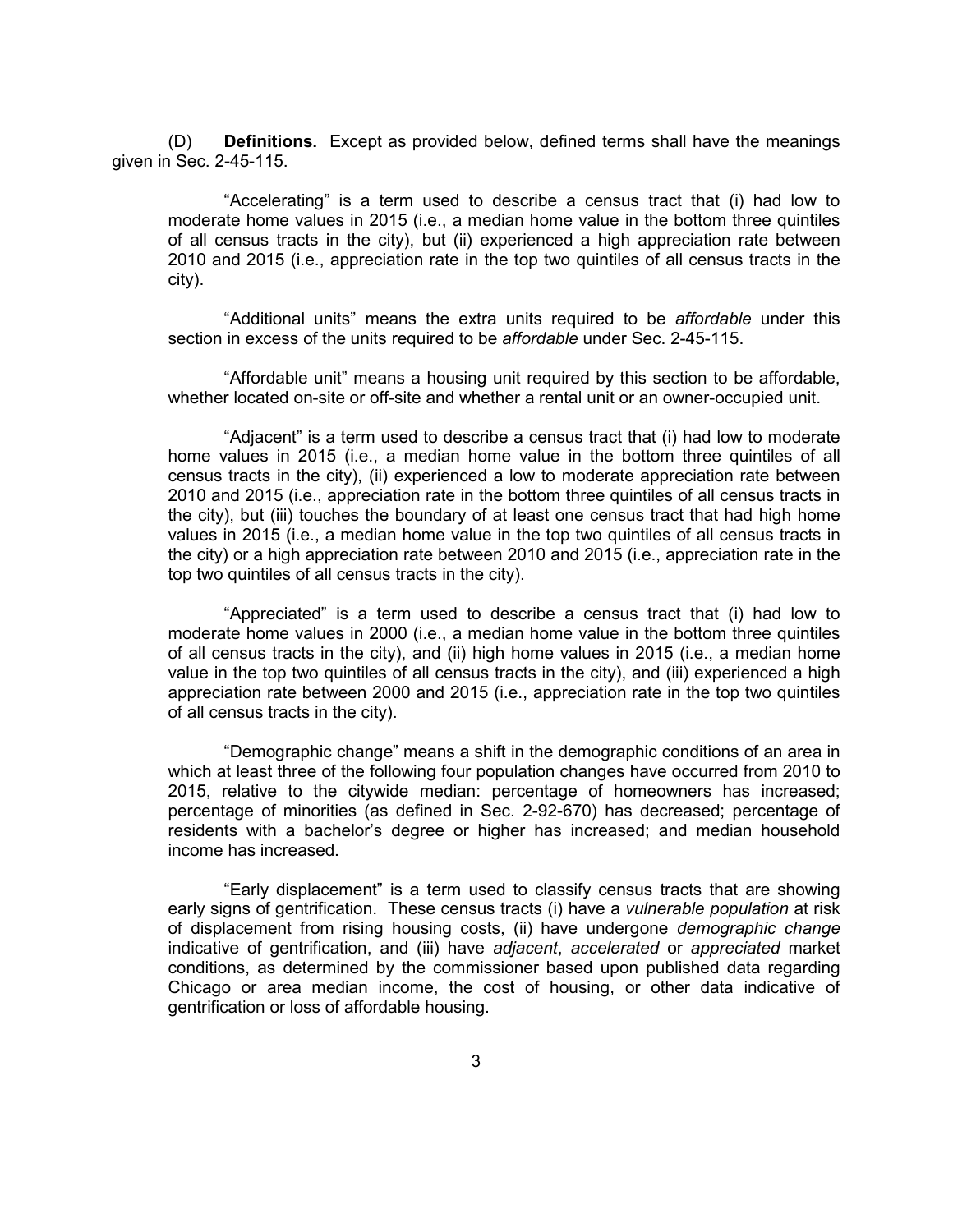(D) **Definitions.** Except as provided below, defined terms shall have the meanings given in Sec. 2-45-115.

"Accelerating" is a term used to describe a census tract that (i) had low to moderate home values in 2015 (i.e., a median home value in the bottom three quintiles of all census tracts in the city), but (ii) experienced a high appreciation rate between 2010 and 2015 (i.e., appreciation rate in the top two quintiles of all census tracts in the city).

"Additional units" means the extra units required to be *affordable* under this section in excess of the units required to be *affordable* under Sec. 2-45-115.

"Affordable unit" means a housing unit required by this section to be affordable, whether located on-site or off-site and whether a rental unit or an owner-occupied unit.

"Adjacent" is a term used to describe a census tract that (i) had low to moderate home values in 2015 (i.e., a median home value in the bottom three quintiles of all census tracts in the city), (ii) experienced a low to moderate appreciation rate between 2010 and 2015 (i.e., appreciation rate in the bottom three quintiles of all census tracts in the city), but (iii) touches the boundary of at least one census tract that had high home values in 2015 (i.e., a median home value in the top two quintiles of all census tracts in the city) or a high appreciation rate between 2010 and 2015 (i.e., appreciation rate in the top two quintiles of all census tracts in the city).

"Appreciated" is a term used to describe a census tract that (i) had low to moderate home values in 2000 (i.e., a median home value in the bottom three quintiles of all census tracts in the city), and (ii) high home values in 2015 (i.e., a median home value in the top two quintiles of all census tracts in the city), and (iii) experienced a high appreciation rate between 2000 and 2015 (i.e., appreciation rate in the top two quintiles of all census tracts in the city).

"Demographic change" means a shift in the demographic conditions of an area in which at least three of the following four population changes have occurred from 2010 to 2015, relative to the citywide median: percentage of homeowners has increased; percentage of minorities (as defined in Sec. 2-92-670) has decreased; percentage of residents with a bachelor's degree or higher has increased; and median household income has increased.

"Early displacement" is a term used to classify census tracts that are showing early signs of gentrification. These census tracts (i) have a *vulnerable population* at risk of displacement from rising housing costs, (ii) have undergone *demographic change*  indicative of gentrification, and (iii) have *adjacent*, *accelerated* or *appreciated* market conditions, as determined by the commissioner based upon published data regarding Chicago or area median income, the cost of housing, or other data indicative of gentrification or loss of affordable housing.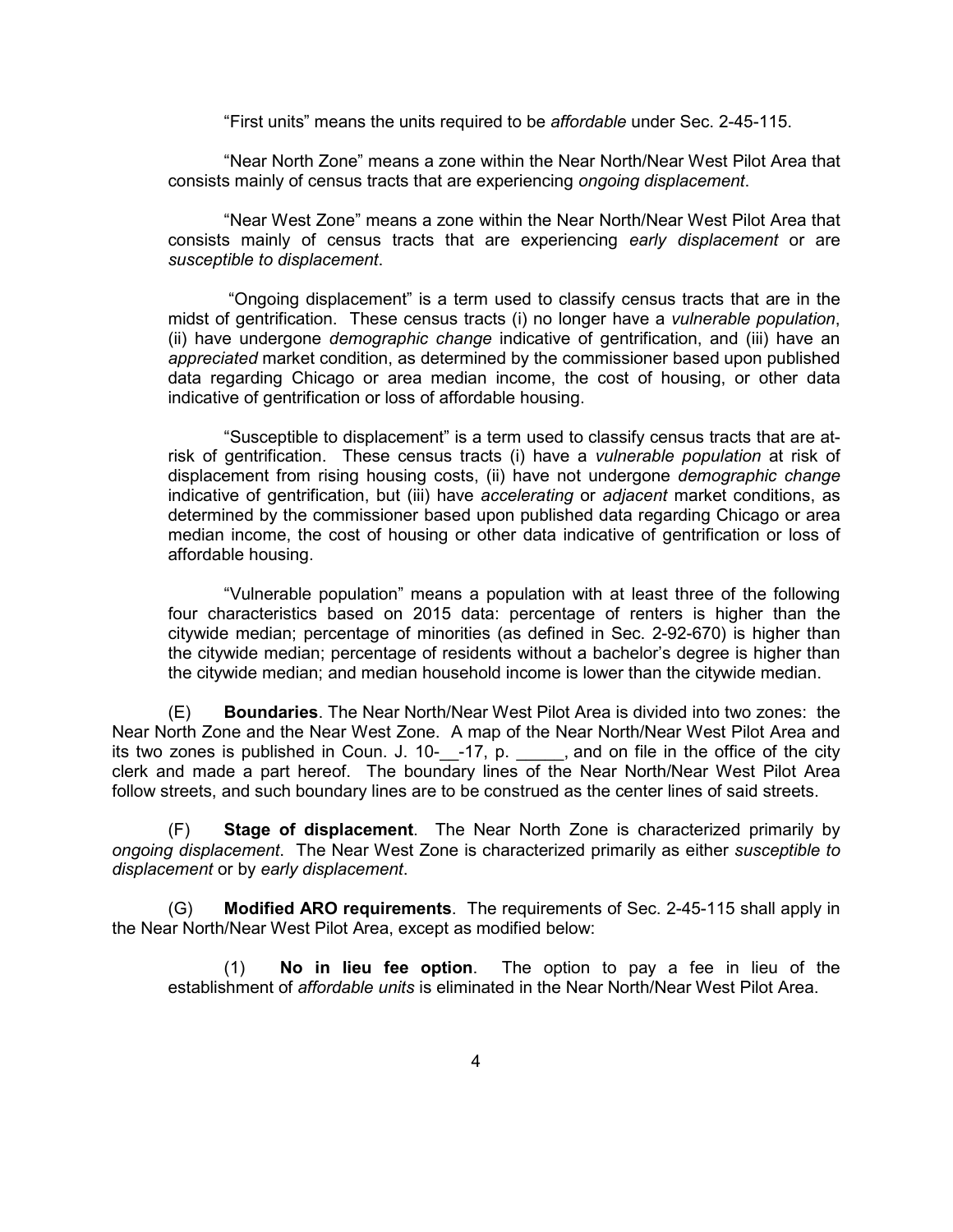"First units" means the units required to be *affordable* under Sec. 2-45-115.

"Near North Zone" means a zone within the Near North/Near West Pilot Area that consists mainly of census tracts that are experiencing *ongoing displacement*.

"Near West Zone" means a zone within the Near North/Near West Pilot Area that consists mainly of census tracts that are experiencing *early displacement* or are *susceptible to displacement*.

 "Ongoing displacement" is a term used to classify census tracts that are in the midst of gentrification. These census tracts (i) no longer have a *vulnerable population*, (ii) have undergone *demographic change* indicative of gentrification, and (iii) have an *appreciated* market condition, as determined by the commissioner based upon published data regarding Chicago or area median income, the cost of housing, or other data indicative of gentrification or loss of affordable housing.

"Susceptible to displacement" is a term used to classify census tracts that are atrisk of gentrification. These census tracts (i) have a *vulnerable population* at risk of displacement from rising housing costs, (ii) have not undergone *demographic change* indicative of gentrification, but (iii) have *accelerating* or *adjacent* market conditions, as determined by the commissioner based upon published data regarding Chicago or area median income, the cost of housing or other data indicative of gentrification or loss of affordable housing.

"Vulnerable population" means a population with at least three of the following four characteristics based on 2015 data: percentage of renters is higher than the citywide median; percentage of minorities (as defined in Sec. 2-92-670) is higher than the citywide median; percentage of residents without a bachelor's degree is higher than the citywide median; and median household income is lower than the citywide median.

(E) **Boundaries**. The Near North/Near West Pilot Area is divided into two zones: the Near North Zone and the Near West Zone. A map of the Near North/Near West Pilot Area and its two zones is published in Coun. J. 10-\_\_-17, p. \_\_\_\_\_, and on file in the office of the city clerk and made a part hereof. The boundary lines of the Near North/Near West Pilot Area follow streets, and such boundary lines are to be construed as the center lines of said streets.

(F) **Stage of displacement**. The Near North Zone is characterized primarily by *ongoing displacement*. The Near West Zone is characterized primarily as either *susceptible to displacement* or by *early displacement*.

(G) **Modified ARO requirements**. The requirements of Sec. 2-45-115 shall apply in the Near North/Near West Pilot Area, except as modified below:

(1) **No in lieu fee option**. The option to pay a fee in lieu of the establishment of *affordable units* is eliminated in the Near North/Near West Pilot Area.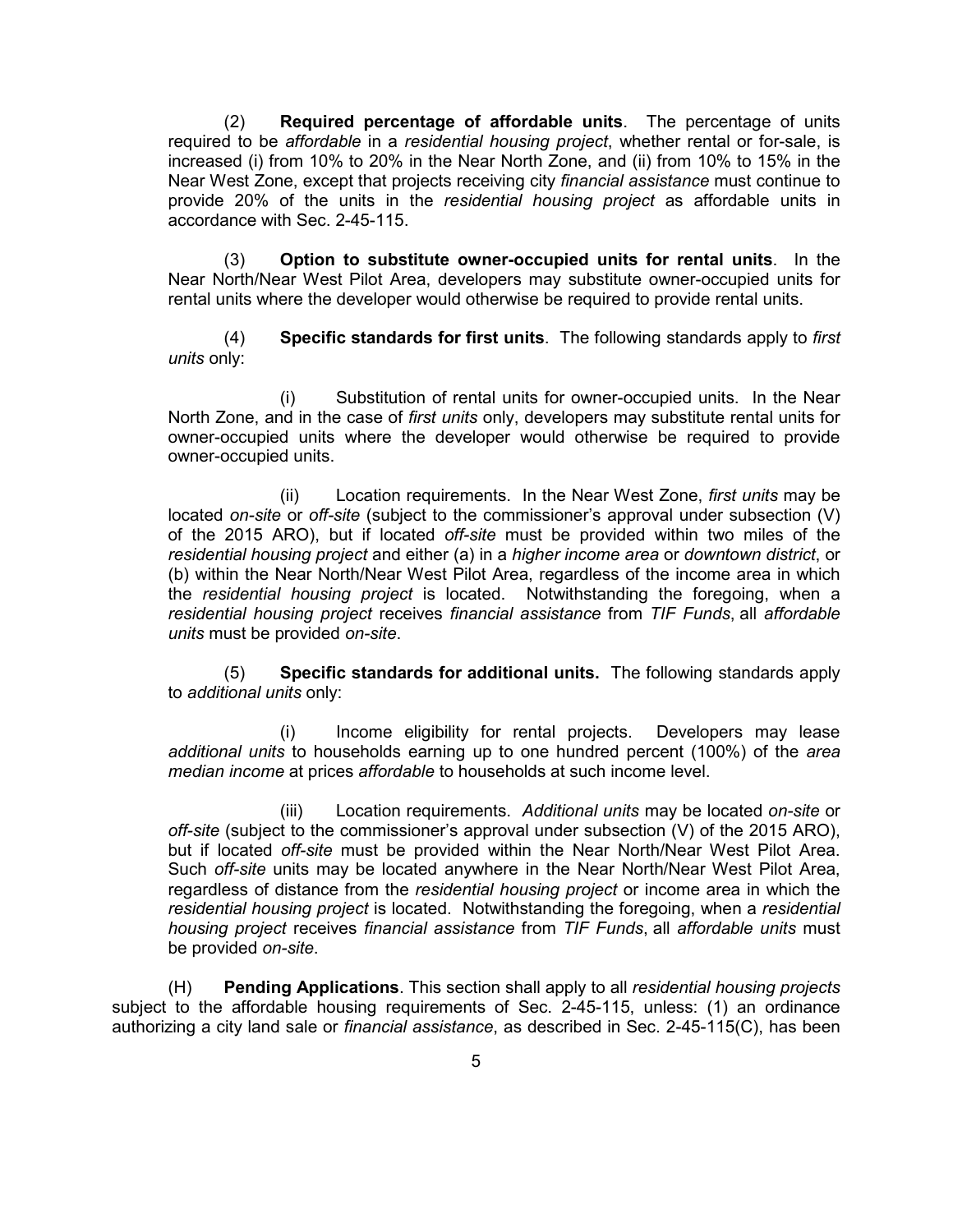(2) **Required percentage of affordable units**. The percentage of units required to be *affordable* in a *residential housing project*, whether rental or for-sale, is increased (i) from 10% to 20% in the Near North Zone, and (ii) from 10% to 15% in the Near West Zone, except that projects receiving city *financial assistance* must continue to provide 20% of the units in the *residential housing project* as affordable units in accordance with Sec. 2-45-115.

(3) **Option to substitute owner-occupied units for rental units**. In the Near North/Near West Pilot Area, developers may substitute owner-occupied units for rental units where the developer would otherwise be required to provide rental units.

(4) **Specific standards for first units**. The following standards apply to *first units* only:

(i) Substitution of rental units for owner-occupied units. In the Near North Zone, and in the case of *first units* only, developers may substitute rental units for owner-occupied units where the developer would otherwise be required to provide owner-occupied units.

(ii) Location requirements. In the Near West Zone, *first units* may be located *on-site* or *off-site* (subject to the commissioner's approval under subsection (V) of the 2015 ARO), but if located *off-site* must be provided within two miles of the *residential housing project* and either (a) in a *higher income area* or *downtown district*, or (b) within the Near North/Near West Pilot Area, regardless of the income area in which the *residential housing project* is located. Notwithstanding the foregoing, when a *residential housing project* receives *financial assistance* from *TIF Funds*, all *affordable units* must be provided *on-site*.

(5) **Specific standards for additional units.** The following standards apply to *additional units* only:

(i) Income eligibility for rental projects. Developers may lease *additional units* to households earning up to one hundred percent (100%) of the *area median income* at prices *affordable* to households at such income level.

(iii) Location requirements. *Additional units* may be located *on-site* or *off-site* (subject to the commissioner's approval under subsection (V) of the 2015 ARO), but if located *off-site* must be provided within the Near North/Near West Pilot Area. Such *off-site* units may be located anywhere in the Near North/Near West Pilot Area, regardless of distance from the *residential housing project* or income area in which the *residential housing project* is located. Notwithstanding the foregoing, when a *residential housing project* receives *financial assistance* from *TIF Funds*, all *affordable units* must be provided *on-site*.

(H) **Pending Applications**. This section shall apply to all *residential housing projects* subject to the affordable housing requirements of Sec. 2-45-115, unless: (1) an ordinance authorizing a city land sale or *financial assistance*, as described in Sec. 2-45-115(C), has been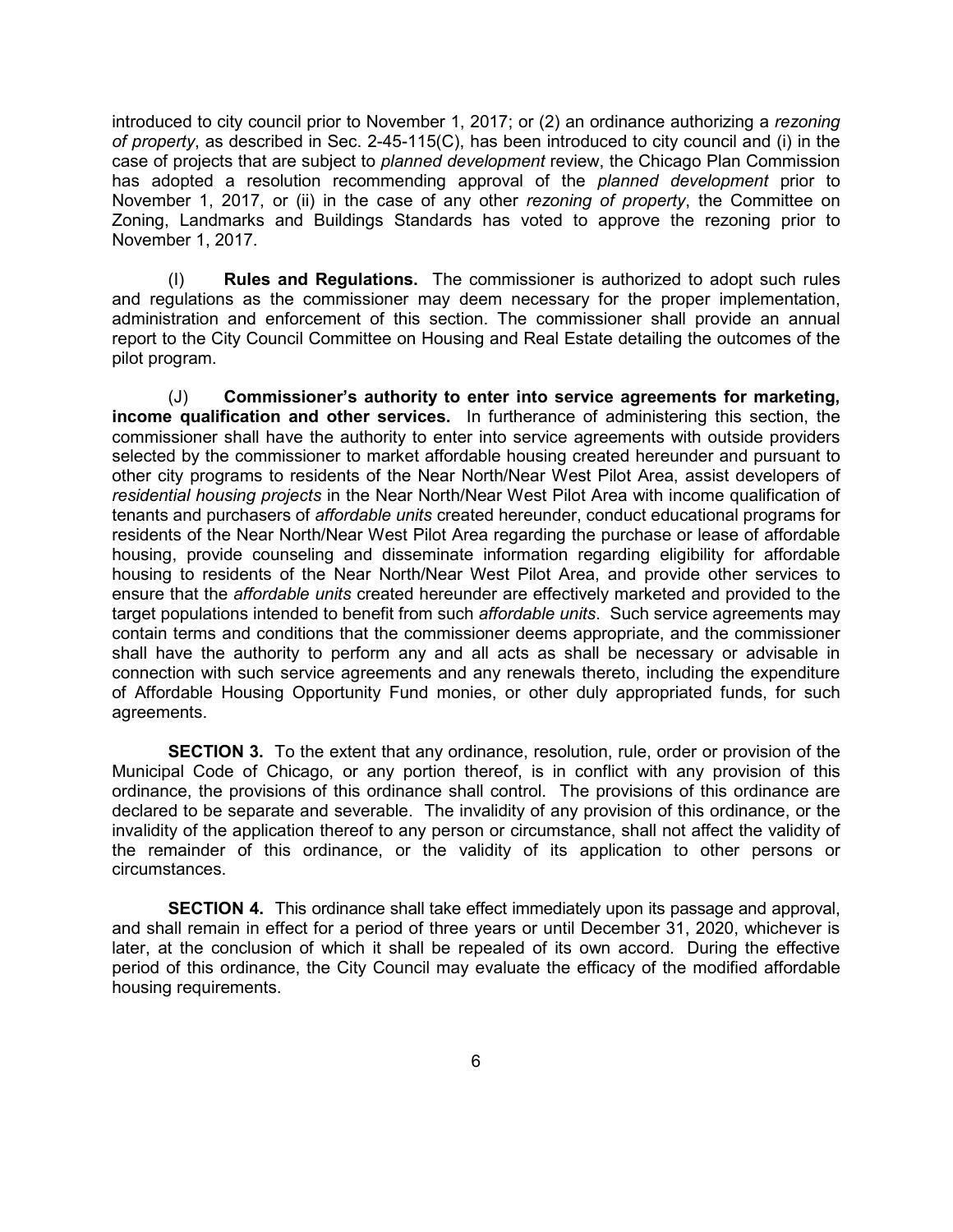introduced to city council prior to November 1, 2017; or (2) an ordinance authorizing a *rezoning of property*, as described in Sec. 2-45-115(C), has been introduced to city council and (i) in the case of projects that are subject to *planned development* review, the Chicago Plan Commission has adopted a resolution recommending approval of the *planned development* prior to November 1, 2017, or (ii) in the case of any other *rezoning of property*, the Committee on Zoning, Landmarks and Buildings Standards has voted to approve the rezoning prior to November 1, 2017.

(I) **Rules and Regulations.** The commissioner is authorized to adopt such rules and regulations as the commissioner may deem necessary for the proper implementation, administration and enforcement of this section. The commissioner shall provide an annual report to the City Council Committee on Housing and Real Estate detailing the outcomes of the pilot program.

(J) **Commissioner's authority to enter into service agreements for marketing, income qualification and other services.** In furtherance of administering this section, the commissioner shall have the authority to enter into service agreements with outside providers selected by the commissioner to market affordable housing created hereunder and pursuant to other city programs to residents of the Near North/Near West Pilot Area, assist developers of *residential housing projects* in the Near North/Near West Pilot Area with income qualification of tenants and purchasers of *affordable units* created hereunder, conduct educational programs for residents of the Near North/Near West Pilot Area regarding the purchase or lease of affordable housing, provide counseling and disseminate information regarding eligibility for affordable housing to residents of the Near North/Near West Pilot Area, and provide other services to ensure that the *affordable units* created hereunder are effectively marketed and provided to the target populations intended to benefit from such *affordable units*. Such service agreements may contain terms and conditions that the commissioner deems appropriate, and the commissioner shall have the authority to perform any and all acts as shall be necessary or advisable in connection with such service agreements and any renewals thereto, including the expenditure of Affordable Housing Opportunity Fund monies, or other duly appropriated funds, for such agreements.

**SECTION 3.** To the extent that any ordinance, resolution, rule, order or provision of the Municipal Code of Chicago, or any portion thereof, is in conflict with any provision of this ordinance, the provisions of this ordinance shall control. The provisions of this ordinance are declared to be separate and severable. The invalidity of any provision of this ordinance, or the invalidity of the application thereof to any person or circumstance, shall not affect the validity of the remainder of this ordinance, or the validity of its application to other persons or circumstances.

**SECTION 4.** This ordinance shall take effect immediately upon its passage and approval, and shall remain in effect for a period of three years or until December 31, 2020, whichever is later, at the conclusion of which it shall be repealed of its own accord. During the effective period of this ordinance, the City Council may evaluate the efficacy of the modified affordable housing requirements.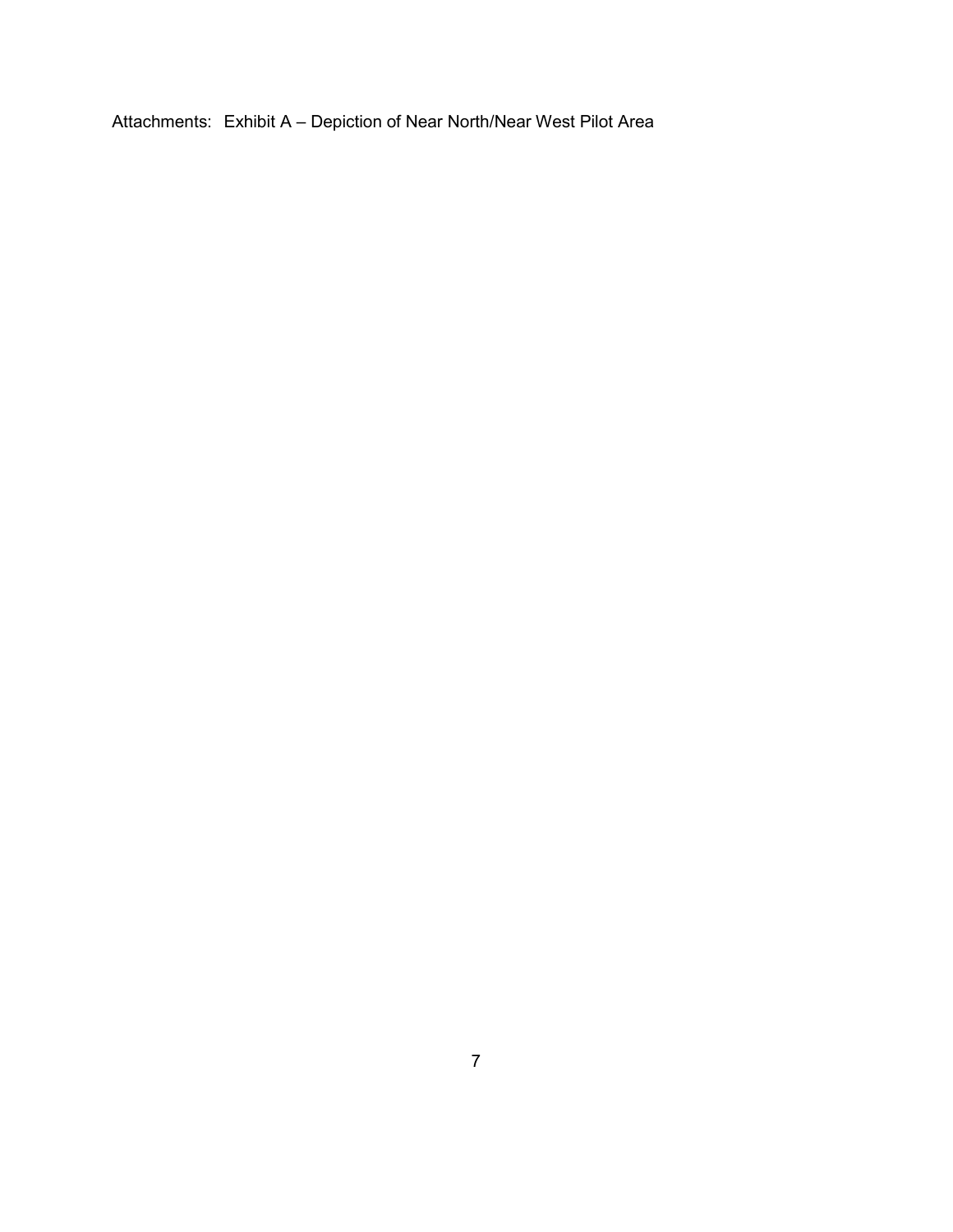Attachments: Exhibit A – Depiction of Near North/Near West Pilot Area